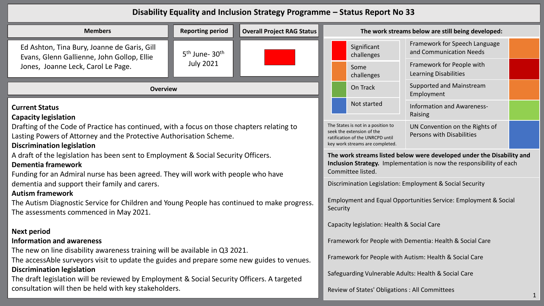## **Disability Equality and Inclusion Strategy Programme – Status Report No 33**

| <b>Reporting period</b><br><b>Members</b><br><b>Overall Project RAG Status</b>                                                                                                                         |                                                                                                                                                                    |                                                                                                                                                                                                       | The work streams below are still being developed:      |                                                      |                                                           |  |
|--------------------------------------------------------------------------------------------------------------------------------------------------------------------------------------------------------|--------------------------------------------------------------------------------------------------------------------------------------------------------------------|-------------------------------------------------------------------------------------------------------------------------------------------------------------------------------------------------------|--------------------------------------------------------|------------------------------------------------------|-----------------------------------------------------------|--|
| Ed Ashton, Tina Bury, Joanne de Garis, Gill<br>Evans, Glenn Gallienne, John Gollop, Ellie                                                                                                              | 5 <sup>th</sup> June- 30 <sup>th</sup><br><b>July 2021</b>                                                                                                         |                                                                                                                                                                                                       |                                                        | Significant<br>challenges                            | Framework for Speech Language<br>and Communication Needs  |  |
| Jones, Joanne Leck, Carol Le Page.                                                                                                                                                                     |                                                                                                                                                                    |                                                                                                                                                                                                       |                                                        | Some<br>challenges                                   | Framework for People with<br><b>Learning Disabilities</b> |  |
| <b>Overview</b>                                                                                                                                                                                        |                                                                                                                                                                    | On Track                                                                                                                                                                                              | Supported and Mainstream<br>Employment                 |                                                      |                                                           |  |
| <b>Current Status</b><br><b>Capacity legislation</b>                                                                                                                                                   |                                                                                                                                                                    | Not started                                                                                                                                                                                           | Information and Awareness-<br>Raising                  |                                                      |                                                           |  |
| Drafting of the Code of Practice has continued, with a focus on those chapters relating to<br>Lasting Powers of Attorney and the Protective Authorisation Scheme.<br><b>Discrimination legislation</b> |                                                                                                                                                                    | The States is not in a position to<br>UN Convention on the Rights of<br>seek the extension of the<br>Persons with Disabilities<br>ratification of the UNRCPD until<br>key work streams are completed. |                                                        |                                                      |                                                           |  |
| A draft of the legislation has been sent to Employment & Social Security Officers.<br><b>Dementia framework</b><br>Funding for an Admiral nurse has been agreed. They will work with people who have   | The work streams listed below were developed under the Disability and<br>Inclusion Strategy. Implementation is now the responsibility of each<br>Committee listed. |                                                                                                                                                                                                       |                                                        |                                                      |                                                           |  |
| dementia and support their family and carers.<br><b>Autism framework</b>                                                                                                                               | Discrimination Legislation: Employment & Social Security                                                                                                           |                                                                                                                                                                                                       |                                                        |                                                      |                                                           |  |
| The Autism Diagnostic Service for Children and Young People has continued to make progress.<br>The assessments commenced in May 2021.                                                                  | Employment and Equal Opportunities Service: Employment & Social<br>Security                                                                                        |                                                                                                                                                                                                       |                                                        |                                                      |                                                           |  |
| <b>Next period</b>                                                                                                                                                                                     |                                                                                                                                                                    | Capacity legislation: Health & Social Care                                                                                                                                                            |                                                        |                                                      |                                                           |  |
| <b>Information and awareness</b>                                                                                                                                                                       | Framework for People with Dementia: Health & Social Care                                                                                                           |                                                                                                                                                                                                       |                                                        |                                                      |                                                           |  |
| The new on line disability awareness training will be available in Q3 2021.<br>The accessAble surveyors visit to update the guides and prepare some new guides to venues.                              |                                                                                                                                                                    |                                                                                                                                                                                                       | Framework for People with Autism: Health & Social Care |                                                      |                                                           |  |
| <b>Discrimination legislation</b><br>The draft legislation will be reviewed by Employment & Social Security Officers. A targeted                                                                       |                                                                                                                                                                    |                                                                                                                                                                                                       |                                                        | Safeguarding Vulnerable Adults: Health & Social Care |                                                           |  |
| consultation will then be held with key stakeholders.                                                                                                                                                  |                                                                                                                                                                    |                                                                                                                                                                                                       | Review of States' Obligations : All Committees         |                                                      |                                                           |  |

1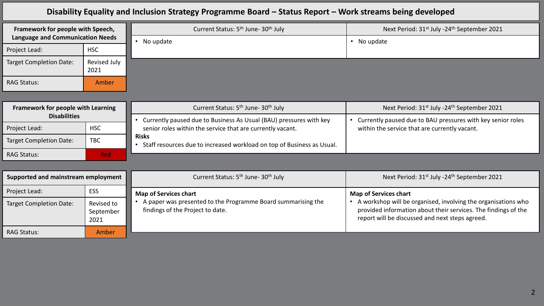## **Disability Equality and Inclusion Strategy Programme Board – Status Report – Work streams being developed**

| Framework for people with Speech,<br>Language and Communication Needs |                      | Current Status: 5 <sup>th</sup> June- 30 <sup>th</sup> July | Next Period: 31st July -24th September 2021 |
|-----------------------------------------------------------------------|----------------------|-------------------------------------------------------------|---------------------------------------------|
|                                                                       |                      | No update                                                   | No update                                   |
| Project Lead:                                                         | <b>HSC</b>           |                                                             |                                             |
| Target Completion Date:                                               | Revised July<br>2021 |                                                             |                                             |
| <b>RAG Status:</b>                                                    | Amber                |                                                             |                                             |

| Framework for people with Learning |            | Current Status: 5 <sup>th</sup> June- 30 <sup>th</sup> July                     | Next Period: 31 <sup>st</sup> July -24 <sup>th</sup> September 2021 |
|------------------------------------|------------|---------------------------------------------------------------------------------|---------------------------------------------------------------------|
| <b>Disabilities</b>                |            | Currently paused due to Business As Usual (BAU) pressures with key              | Currently paused due to BAU pressures with key senior roles         |
| <b>Project Lead:</b>               | <b>HSC</b> | senior roles within the service that are currently vacant.                      | within the service that are currently vacant.                       |
| <b>Target Completion Date:</b>     | <b>TBC</b> | Risks<br>Staff resources due to increased workload on top of Business as Usual. |                                                                     |
| <b>RAG Status:</b>                 | <b>Red</b> |                                                                                 |                                                                     |

| Supported and mainstream employment |                                 | Current Status: 5 <sup>th</sup> June- 30 <sup>th</sup> July                                      | Next Period: 31 <sup>st</sup> July -24 <sup>th</sup> September 2021                                                                                                                |
|-------------------------------------|---------------------------------|--------------------------------------------------------------------------------------------------|------------------------------------------------------------------------------------------------------------------------------------------------------------------------------------|
| Project Lead:                       | ESS                             | <b>Map of Services chart</b>                                                                     | <b>Map of Services chart</b>                                                                                                                                                       |
| <b>Target Completion Date:</b>      | Revised to<br>September<br>2021 | A paper was presented to the Programme Board summarising the<br>findings of the Project to date. | A workshop will be organised, involving the organisations who<br>provided information about their services. The findings of the<br>report will be discussed and next steps agreed. |
| <b>RAG Status:</b>                  | Amber                           |                                                                                                  |                                                                                                                                                                                    |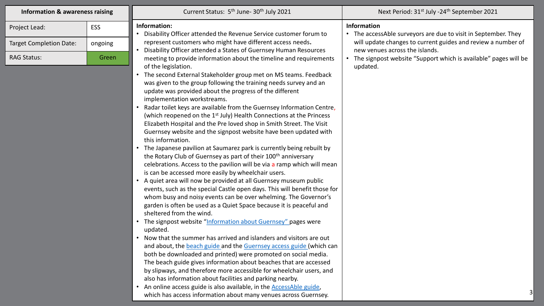| <b>Information &amp; awareness raising</b> |         | Current Status: 5 <sup>th</sup> June-30 <sup>th</sup> July 2021                                                                                                                                                                                                                                                                                                                                                                                                                                                                                                                                                                                                                                                                                                                                                                                                                                                                                                                                                                                                                                                                                                                                                                                                                                                                                                                                                                                                                                                                                                                                                                                                                                                                                                                                                                                                                                                                | Next Period: 31 <sup>st</sup> July -24 <sup>th</sup> September 2021                            |
|--------------------------------------------|---------|--------------------------------------------------------------------------------------------------------------------------------------------------------------------------------------------------------------------------------------------------------------------------------------------------------------------------------------------------------------------------------------------------------------------------------------------------------------------------------------------------------------------------------------------------------------------------------------------------------------------------------------------------------------------------------------------------------------------------------------------------------------------------------------------------------------------------------------------------------------------------------------------------------------------------------------------------------------------------------------------------------------------------------------------------------------------------------------------------------------------------------------------------------------------------------------------------------------------------------------------------------------------------------------------------------------------------------------------------------------------------------------------------------------------------------------------------------------------------------------------------------------------------------------------------------------------------------------------------------------------------------------------------------------------------------------------------------------------------------------------------------------------------------------------------------------------------------------------------------------------------------------------------------------------------------|------------------------------------------------------------------------------------------------|
| Project Lead:                              | ESS     | Information:<br>• Disability Officer attended the Revenue Service customer forum to                                                                                                                                                                                                                                                                                                                                                                                                                                                                                                                                                                                                                                                                                                                                                                                                                                                                                                                                                                                                                                                                                                                                                                                                                                                                                                                                                                                                                                                                                                                                                                                                                                                                                                                                                                                                                                            | <b>Information</b><br>• The accessAble surveyors are due to visit in September. They           |
| <b>Target Completion Date:</b>             | ongoing | represent customers who might have different access needs.<br>Disability Officer attended a States of Guernsey Human Resources                                                                                                                                                                                                                                                                                                                                                                                                                                                                                                                                                                                                                                                                                                                                                                                                                                                                                                                                                                                                                                                                                                                                                                                                                                                                                                                                                                                                                                                                                                                                                                                                                                                                                                                                                                                                 | will update changes to current guides and review a number of<br>new venues across the islands. |
| <b>RAG Status:</b>                         | Green   | meeting to provide information about the timeline and requirements<br>of the legislation.<br>The second External Stakeholder group met on MS teams. Feedback<br>was given to the group following the training needs survey and an<br>update was provided about the progress of the different<br>implementation workstreams.<br>Radar toilet keys are available from the Guernsey Information Centre,<br>(which reopened on the 1 <sup>st</sup> July) Health Connections at the Princess<br>Elizabeth Hospital and the Pre loved shop in Smith Street. The Visit<br>Guernsey website and the signpost website have been updated with<br>this information.<br>The Japanese pavilion at Saumarez park is currently being rebuilt by<br>the Rotary Club of Guernsey as part of their 100 <sup>th</sup> anniversary<br>celebrations. Access to the pavilion will be via a ramp which will mean<br>is can be accessed more easily by wheelchair users.<br>A quiet area will now be provided at all Guernsey museum public<br>events, such as the special Castle open days. This will benefit those for<br>whom busy and noisy events can be over whelming. The Governor's<br>garden is often be used as a Quiet Space because it is peaceful and<br>sheltered from the wind.<br>The signpost website "Information about Guernsey" pages were<br>updated.<br>• Now that the summer has arrived and islanders and visitors are out<br>and about, the beach guide and the Guernsey access guide (which can<br>both be downloaded and printed) were promoted on social media.<br>The beach guide gives information about beaches that are accessed<br>by slipways, and therefore more accessible for wheelchair users, and<br>also has information about facilities and parking nearby.<br>An online access guide is also available, in the <b>AccessAble guide</b> ,<br>which has access information about many venues across Guernsey. | The signpost website "Support which is available" pages will be<br>updated.                    |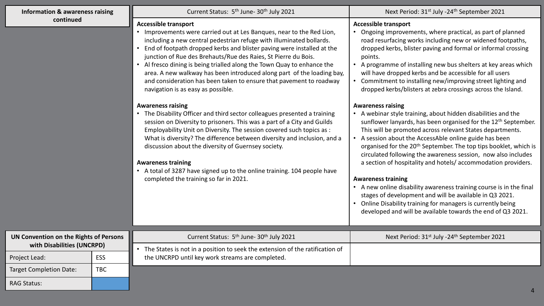| <b>Information &amp; awareness raising</b> |            | Current Status: 5 <sup>th</sup> June- 30 <sup>th</sup> July 2021                                                                                                                                                                                                                                                                                                                                                                                                                                                                                                                                                                                                                                                                                                                                                                                                                                                                                                                                                                                                                                                                            | Next Period: 31 <sup>st</sup> July -24 <sup>th</sup> September 2021                                                                                                                                                                                                                                                                                                                                                                                                                                                                                                                                                                                                                                                                                                                                                                                                                                                                                                                                                                                                                                                                                                                                                                                                                                         |
|--------------------------------------------|------------|---------------------------------------------------------------------------------------------------------------------------------------------------------------------------------------------------------------------------------------------------------------------------------------------------------------------------------------------------------------------------------------------------------------------------------------------------------------------------------------------------------------------------------------------------------------------------------------------------------------------------------------------------------------------------------------------------------------------------------------------------------------------------------------------------------------------------------------------------------------------------------------------------------------------------------------------------------------------------------------------------------------------------------------------------------------------------------------------------------------------------------------------|-------------------------------------------------------------------------------------------------------------------------------------------------------------------------------------------------------------------------------------------------------------------------------------------------------------------------------------------------------------------------------------------------------------------------------------------------------------------------------------------------------------------------------------------------------------------------------------------------------------------------------------------------------------------------------------------------------------------------------------------------------------------------------------------------------------------------------------------------------------------------------------------------------------------------------------------------------------------------------------------------------------------------------------------------------------------------------------------------------------------------------------------------------------------------------------------------------------------------------------------------------------------------------------------------------------|
| continued                                  |            | <b>Accessible transport</b><br>Improvements were carried out at Les Banques, near to the Red Lion,<br>including a new central pedestrian refuge with illuminated bollards.<br>End of footpath dropped kerbs and blister paving were installed at the<br>junction of Rue des Brehauts/Rue des Raies, St Pierre du Bois.<br>• Al fresco dining is being trialled along the Town Quay to enhance the<br>area. A new walkway has been introduced along part of the loading bay,<br>and consideration has been taken to ensure that pavement to roadway<br>navigation is as easy as possible.<br><b>Awareness raising</b><br>• The Disability Officer and third sector colleagues presented a training<br>session on Diversity to prisoners. This was a part of a City and Guilds<br>Employability Unit on Diversity. The session covered such topics as :<br>What is diversity? The difference between diversity and inclusion, and a<br>discussion about the diversity of Guernsey society.<br><b>Awareness training</b><br>• A total of 3287 have signed up to the online training. 104 people have<br>completed the training so far in 2021. | <b>Accessible transport</b><br>Ongoing improvements, where practical, as part of planned<br>road resurfacing works including new or widened footpaths,<br>dropped kerbs, blister paving and formal or informal crossing<br>points.<br>• A programme of installing new bus shelters at key areas which<br>will have dropped kerbs and be accessible for all users<br>Commitment to installing new/improving street lighting and<br>dropped kerbs/blisters at zebra crossings across the Island.<br><b>Awareness raising</b><br>• A webinar style training, about hidden disabilities and the<br>sunflower lanyards, has been organised for the 12 <sup>th</sup> September.<br>This will be promoted across relevant States departments.<br>A session about the AccessAble online guide has been<br>organised for the 20 <sup>th</sup> September. The top tips booklet, which is<br>circulated following the awareness session, now also includes<br>a section of hospitality and hotels/accommodation providers.<br><b>Awareness training</b><br>• A new online disability awareness training course is in the final<br>stages of development and will be available in Q3 2021.<br>Online Disability training for managers is currently being<br>developed and will be available towards the end of Q3 2021. |
| UN Convention on the Rights of Persons     |            | Current Status: 5 <sup>th</sup> June- 30 <sup>th</sup> July 2021                                                                                                                                                                                                                                                                                                                                                                                                                                                                                                                                                                                                                                                                                                                                                                                                                                                                                                                                                                                                                                                                            | Next Period: 31 <sup>st</sup> July -24 <sup>th</sup> September 2021                                                                                                                                                                                                                                                                                                                                                                                                                                                                                                                                                                                                                                                                                                                                                                                                                                                                                                                                                                                                                                                                                                                                                                                                                                         |
| with Disabilities (UNCRPD)                 |            | The States is not in a position to seek the extension of the ratification of                                                                                                                                                                                                                                                                                                                                                                                                                                                                                                                                                                                                                                                                                                                                                                                                                                                                                                                                                                                                                                                                |                                                                                                                                                                                                                                                                                                                                                                                                                                                                                                                                                                                                                                                                                                                                                                                                                                                                                                                                                                                                                                                                                                                                                                                                                                                                                                             |
| Project Lead:                              | ESS        | the UNCRPD until key work streams are completed.                                                                                                                                                                                                                                                                                                                                                                                                                                                                                                                                                                                                                                                                                                                                                                                                                                                                                                                                                                                                                                                                                            |                                                                                                                                                                                                                                                                                                                                                                                                                                                                                                                                                                                                                                                                                                                                                                                                                                                                                                                                                                                                                                                                                                                                                                                                                                                                                                             |
| <b>Target Completion Date:</b>             | <b>TBC</b> |                                                                                                                                                                                                                                                                                                                                                                                                                                                                                                                                                                                                                                                                                                                                                                                                                                                                                                                                                                                                                                                                                                                                             |                                                                                                                                                                                                                                                                                                                                                                                                                                                                                                                                                                                                                                                                                                                                                                                                                                                                                                                                                                                                                                                                                                                                                                                                                                                                                                             |
| <b>RAG Status:</b>                         |            |                                                                                                                                                                                                                                                                                                                                                                                                                                                                                                                                                                                                                                                                                                                                                                                                                                                                                                                                                                                                                                                                                                                                             |                                                                                                                                                                                                                                                                                                                                                                                                                                                                                                                                                                                                                                                                                                                                                                                                                                                                                                                                                                                                                                                                                                                                                                                                                                                                                                             |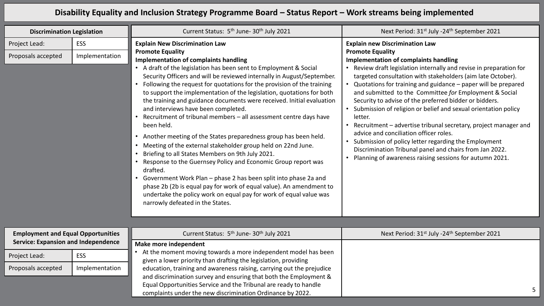## **Disability Equality and Inclusion Strategy Programme Board – Status Report – Work streams being implemented**

| <b>Discrimination Legislation</b>          |                              | Current Status: 5 <sup>th</sup> June- 30 <sup>th</sup> July 2021                                                                                                                                                                                                                                                                                                                                                                                                                                                                                                                                                                                                                                                                                                                                                                                                                                                                                                                                                                                                                                                                                             | Next Period: 31 <sup>st</sup> July -24 <sup>th</sup> September 2021                                                                                                                                                                                                                                                                                                                                                                                                                                                                                                                                                                                                                                                                                                                                                                    |
|--------------------------------------------|------------------------------|--------------------------------------------------------------------------------------------------------------------------------------------------------------------------------------------------------------------------------------------------------------------------------------------------------------------------------------------------------------------------------------------------------------------------------------------------------------------------------------------------------------------------------------------------------------------------------------------------------------------------------------------------------------------------------------------------------------------------------------------------------------------------------------------------------------------------------------------------------------------------------------------------------------------------------------------------------------------------------------------------------------------------------------------------------------------------------------------------------------------------------------------------------------|----------------------------------------------------------------------------------------------------------------------------------------------------------------------------------------------------------------------------------------------------------------------------------------------------------------------------------------------------------------------------------------------------------------------------------------------------------------------------------------------------------------------------------------------------------------------------------------------------------------------------------------------------------------------------------------------------------------------------------------------------------------------------------------------------------------------------------------|
| Project Lead:<br>Proposals accepted        | <b>ESS</b><br>Implementation | <b>Explain New Discrimination Law</b><br><b>Promote Equality</b><br><b>Implementation of complaints handling</b><br>• A draft of the legislation has been sent to Employment & Social<br>Security Officers and will be reviewed internally in August/September.<br>Following the request for quotations for the provision of the training<br>to support the implementation of the legislation, quotations for both<br>the training and guidance documents were received. Initial evaluation<br>and interviews have been completed.<br>Recruitment of tribunal members - all assessment centre days have<br>been held.<br>Another meeting of the States preparedness group has been held.<br>• Meeting of the external stakeholder group held on 22nd June.<br>Briefing to all States Members on 9th July 2021.<br>Response to the Guernsey Policy and Economic Group report was<br>drafted.<br>Government Work Plan - phase 2 has been split into phase 2a and<br>$\bullet$<br>phase 2b (2b is equal pay for work of equal value). An amendment to<br>undertake the policy work on equal pay for work of equal value was<br>narrowly defeated in the States. | <b>Explain new Discrimination Law</b><br><b>Promote Equality</b><br><b>Implementation of complaints handling</b><br>• Review draft legislation internally and revise in preparation for<br>targeted consultation with stakeholders (aim late October).<br>• Quotations for training and guidance - paper will be prepared<br>and submitted to the Committee for Employment & Social<br>Security to advise of the preferred bidder or bidders.<br>• Submission of religion or belief and sexual orientation policy<br>letter.<br>Recruitment - advertise tribunal secretary, project manager and<br>$\bullet$<br>advice and conciliation officer roles.<br>• Submission of policy letter regarding the Employment<br>Discrimination Tribunal panel and chairs from Jan 2022.<br>Planning of awareness raising sessions for autumn 2021. |
| <b>Employment and Equal Opportunities</b>  |                              | Current Status: 5 <sup>th</sup> June- 30 <sup>th</sup> July 2021                                                                                                                                                                                                                                                                                                                                                                                                                                                                                                                                                                                                                                                                                                                                                                                                                                                                                                                                                                                                                                                                                             | Next Period: 31 <sup>st</sup> July -24 <sup>th</sup> September 2021                                                                                                                                                                                                                                                                                                                                                                                                                                                                                                                                                                                                                                                                                                                                                                    |
| <b>Service: Expansion and Independence</b> |                              | Make more independent                                                                                                                                                                                                                                                                                                                                                                                                                                                                                                                                                                                                                                                                                                                                                                                                                                                                                                                                                                                                                                                                                                                                        |                                                                                                                                                                                                                                                                                                                                                                                                                                                                                                                                                                                                                                                                                                                                                                                                                                        |
| Project Lead:                              | <b>ESS</b>                   | At the moment moving towards a more independent model has been<br>given a lower priority than drafting the legislation, providing                                                                                                                                                                                                                                                                                                                                                                                                                                                                                                                                                                                                                                                                                                                                                                                                                                                                                                                                                                                                                            |                                                                                                                                                                                                                                                                                                                                                                                                                                                                                                                                                                                                                                                                                                                                                                                                                                        |
| Proposals accepted                         | Implementation               | education, training and awareness raising, carrying out the prejudice<br>and discrimination survey and ensuring that both the Employment &<br>Equal Opportunities Service and the Tribunal are ready to handle<br>complaints under the new discrimination Ordinance by 2022.                                                                                                                                                                                                                                                                                                                                                                                                                                                                                                                                                                                                                                                                                                                                                                                                                                                                                 | 5                                                                                                                                                                                                                                                                                                                                                                                                                                                                                                                                                                                                                                                                                                                                                                                                                                      |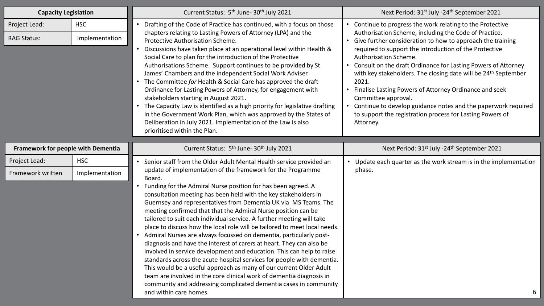| <b>Capacity Legislation</b>         |                              | Current Status: 5 <sup>th</sup> June- 30 <sup>th</sup> July 2021                                                                                                                                                                                                                                                                                                                                                                                                                                                                                                                                                                                                                                                                                                                                                                                                                                                                                                                                                                                                                                | Next Period: 31 <sup>st</sup> July -24 <sup>th</sup> September 2021                                                                                                                                                                                                                                                                                                                                                                                                                                                                                                                                                                                              |
|-------------------------------------|------------------------------|-------------------------------------------------------------------------------------------------------------------------------------------------------------------------------------------------------------------------------------------------------------------------------------------------------------------------------------------------------------------------------------------------------------------------------------------------------------------------------------------------------------------------------------------------------------------------------------------------------------------------------------------------------------------------------------------------------------------------------------------------------------------------------------------------------------------------------------------------------------------------------------------------------------------------------------------------------------------------------------------------------------------------------------------------------------------------------------------------|------------------------------------------------------------------------------------------------------------------------------------------------------------------------------------------------------------------------------------------------------------------------------------------------------------------------------------------------------------------------------------------------------------------------------------------------------------------------------------------------------------------------------------------------------------------------------------------------------------------------------------------------------------------|
| Project Lead:<br><b>RAG Status:</b> | <b>HSC</b><br>Implementation | Drafting of the Code of Practice has continued, with a focus on those<br>chapters relating to Lasting Powers of Attorney (LPA) and the<br>Protective Authorisation Scheme.<br>$\bullet$<br>Discussions have taken place at an operational level within Health &<br>Social Care to plan for the introduction of the Protective<br>Authorisations Scheme. Support continues to be provided by St<br>James' Chambers and the independent Social Work Adviser.<br>The Committee for Health & Social Care has approved the draft<br>Ordinance for Lasting Powers of Attorney, for engagement with<br>stakeholders starting in August 2021.<br>The Capacity Law is identified as a high priority for legislative drafting<br>in the Government Work Plan, which was approved by the States of<br>Deliberation in July 2021. Implementation of the Law is also<br>prioritised within the Plan.                                                                                                                                                                                                         | • Continue to progress the work relating to the Protective<br>Authorisation Scheme, including the Code of Practice.<br>• Give further consideration to how to approach the training<br>required to support the introduction of the Protective<br>Authorisation Scheme.<br>• Consult on the draft Ordinance for Lasting Powers of Attorney<br>with key stakeholders. The closing date will be 24 <sup>th</sup> September<br>2021.<br>• Finalise Lasting Powers of Attorney Ordinance and seek<br>Committee approval.<br>• Continue to develop guidance notes and the paperwork required<br>to support the registration process for Lasting Powers of<br>Attorney. |
| Framework for people with Dementia  |                              | Current Status: 5 <sup>th</sup> June- 30 <sup>th</sup> July 2021                                                                                                                                                                                                                                                                                                                                                                                                                                                                                                                                                                                                                                                                                                                                                                                                                                                                                                                                                                                                                                | Next Period: 31 <sup>st</sup> July -24 <sup>th</sup> September 2021                                                                                                                                                                                                                                                                                                                                                                                                                                                                                                                                                                                              |
| Project Lead:<br>Framework written  | <b>HSC</b><br>Implementation | Senior staff from the Older Adult Mental Health service provided an<br>update of implementation of the framework for the Programme<br>Board.<br>Funding for the Admiral Nurse position for has been agreed. A<br>consultation meeting has been held with the key stakeholders in<br>Guernsey and representatives from Dementia UK via MS Teams. The<br>meeting confirmed that that the Admiral Nurse position can be<br>tailored to suit each individual service. A further meeting will take<br>place to discuss how the local role will be tailored to meet local needs.<br>• Admiral Nurses are always focussed on dementia, particularly post-<br>diagnosis and have the interest of carers at heart. They can also be<br>involved in service development and education. This can help to raise<br>standards across the acute hospital services for people with dementia.<br>This would be a useful approach as many of our current Older Adult<br>team are involved in the core clinical work of dementia diagnosis in<br>community and addressing complicated dementia cases in community | Update each quarter as the work stream is in the implementation<br>phase.                                                                                                                                                                                                                                                                                                                                                                                                                                                                                                                                                                                        |
|                                     |                              | and within care homes                                                                                                                                                                                                                                                                                                                                                                                                                                                                                                                                                                                                                                                                                                                                                                                                                                                                                                                                                                                                                                                                           | 6                                                                                                                                                                                                                                                                                                                                                                                                                                                                                                                                                                                                                                                                |